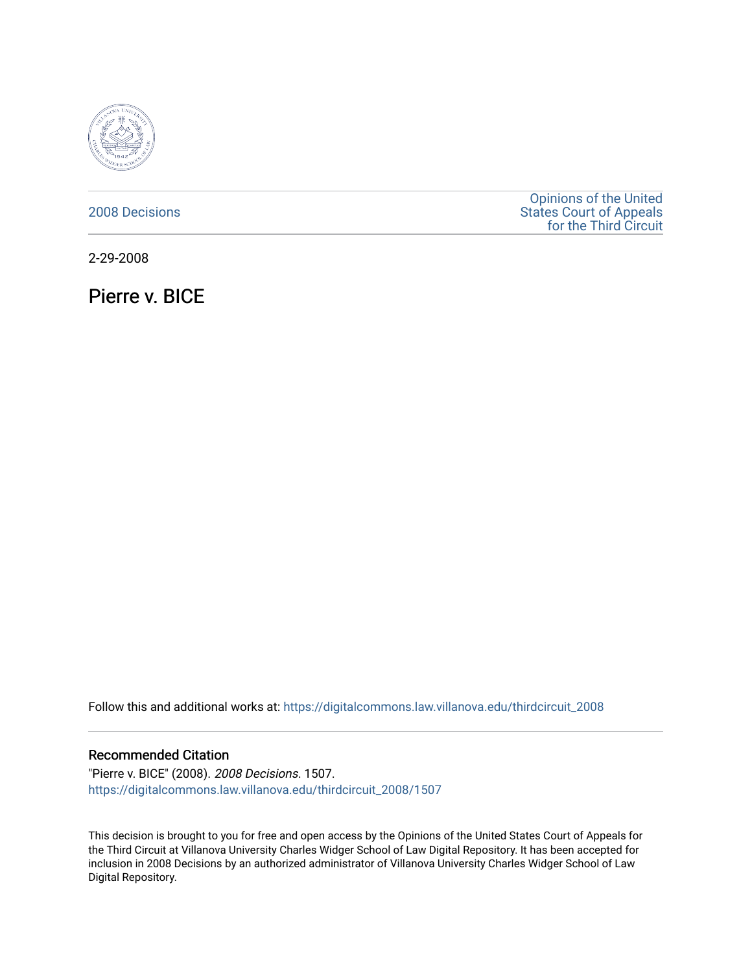

# [2008 Decisions](https://digitalcommons.law.villanova.edu/thirdcircuit_2008)

[Opinions of the United](https://digitalcommons.law.villanova.edu/thirdcircuit)  [States Court of Appeals](https://digitalcommons.law.villanova.edu/thirdcircuit)  [for the Third Circuit](https://digitalcommons.law.villanova.edu/thirdcircuit) 

2-29-2008

Pierre v. BICE

Follow this and additional works at: [https://digitalcommons.law.villanova.edu/thirdcircuit\\_2008](https://digitalcommons.law.villanova.edu/thirdcircuit_2008?utm_source=digitalcommons.law.villanova.edu%2Fthirdcircuit_2008%2F1507&utm_medium=PDF&utm_campaign=PDFCoverPages) 

### Recommended Citation

"Pierre v. BICE" (2008). 2008 Decisions. 1507. [https://digitalcommons.law.villanova.edu/thirdcircuit\\_2008/1507](https://digitalcommons.law.villanova.edu/thirdcircuit_2008/1507?utm_source=digitalcommons.law.villanova.edu%2Fthirdcircuit_2008%2F1507&utm_medium=PDF&utm_campaign=PDFCoverPages) 

This decision is brought to you for free and open access by the Opinions of the United States Court of Appeals for the Third Circuit at Villanova University Charles Widger School of Law Digital Repository. It has been accepted for inclusion in 2008 Decisions by an authorized administrator of Villanova University Charles Widger School of Law Digital Repository.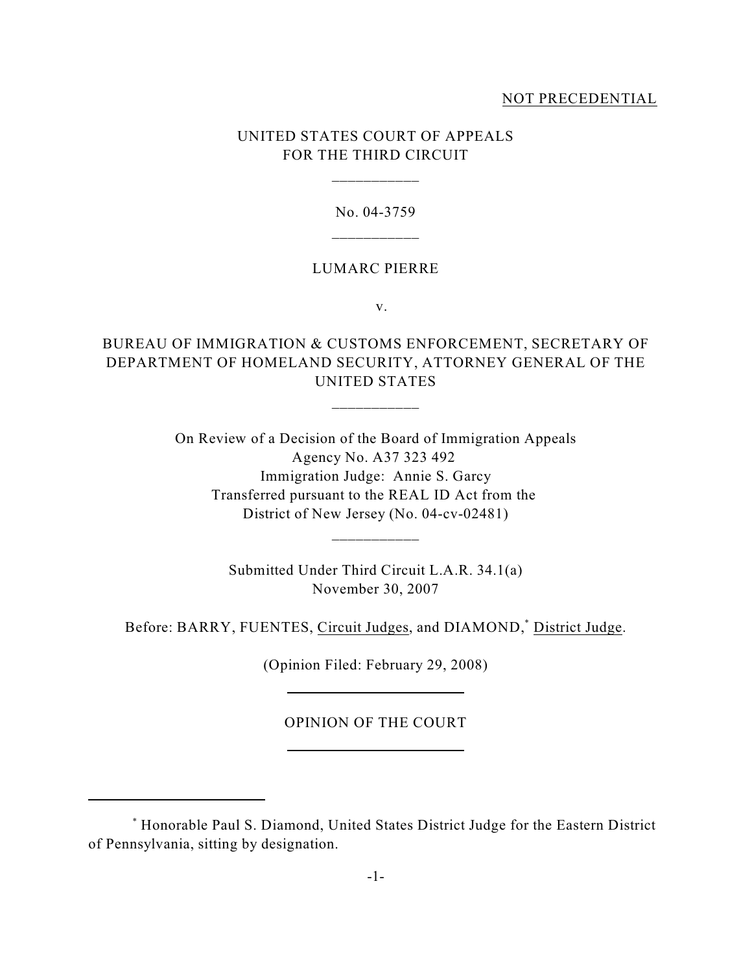## NOT PRECEDENTIAL

# UNITED STATES COURT OF APPEALS FOR THE THIRD CIRCUIT

\_\_\_\_\_\_\_\_\_\_\_

#### No. 04-3759

#### LUMARC PIERRE

v.

# BUREAU OF IMMIGRATION & CUSTOMS ENFORCEMENT, SECRETARY OF DEPARTMENT OF HOMELAND SECURITY, ATTORNEY GENERAL OF THE UNITED STATES

\_\_\_\_\_\_\_\_\_\_\_

On Review of a Decision of the Board of Immigration Appeals Agency No. A37 323 492 Immigration Judge: Annie S. Garcy Transferred pursuant to the REAL ID Act from the District of New Jersey (No. 04-cv-02481)

> Submitted Under Third Circuit L.A.R. 34.1(a) November 30, 2007

\_\_\_\_\_\_\_\_\_\_\_

Before: BARRY, FUENTES, Circuit Judges, and DIAMOND,<sup>\*</sup> District Judge.

(Opinion Filed: February 29, 2008)

OPINION OF THE COURT

Honorable Paul S. Diamond, United States District Judge for the Eastern District \* of Pennsylvania, sitting by designation.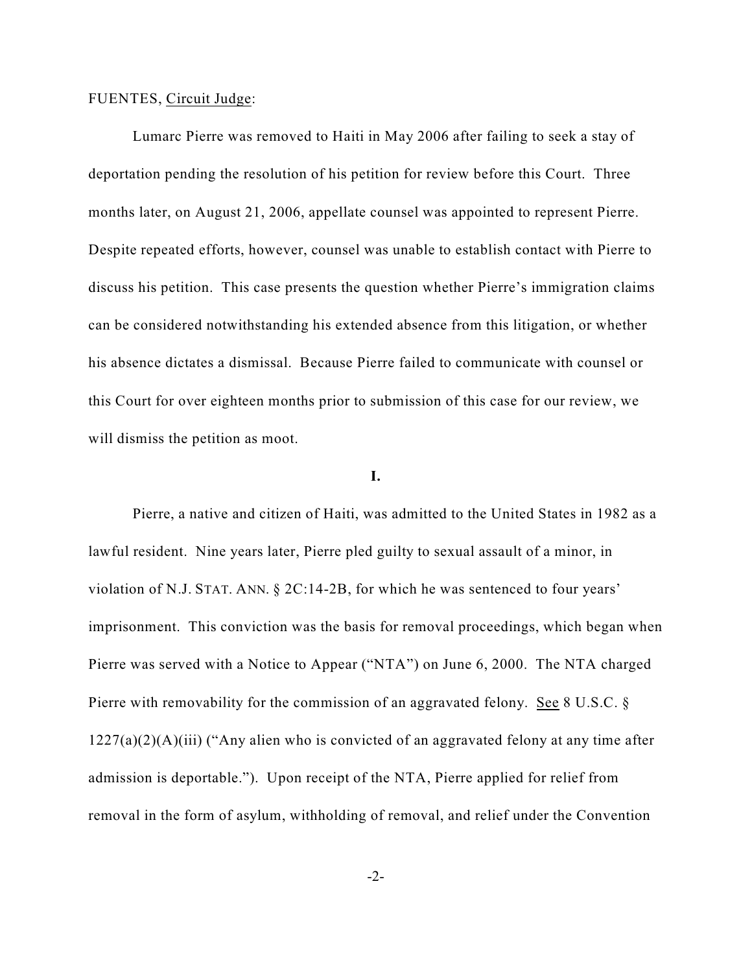### FUENTES, Circuit Judge:

Lumarc Pierre was removed to Haiti in May 2006 after failing to seek a stay of deportation pending the resolution of his petition for review before this Court. Three months later, on August 21, 2006, appellate counsel was appointed to represent Pierre. Despite repeated efforts, however, counsel was unable to establish contact with Pierre to discuss his petition. This case presents the question whether Pierre's immigration claims can be considered notwithstanding his extended absence from this litigation, or whether his absence dictates a dismissal. Because Pierre failed to communicate with counsel or this Court for over eighteen months prior to submission of this case for our review, we will dismiss the petition as moot.

## **I.**

Pierre, a native and citizen of Haiti, was admitted to the United States in 1982 as a lawful resident. Nine years later, Pierre pled guilty to sexual assault of a minor, in violation of N.J. STAT. ANN. § 2C:14-2B, for which he was sentenced to four years' imprisonment. This conviction was the basis for removal proceedings, which began when Pierre was served with a Notice to Appear ("NTA") on June 6, 2000. The NTA charged Pierre with removability for the commission of an aggravated felony. See 8 U.S.C. §  $1227(a)(2)(A)(iii)$  ("Any alien who is convicted of an aggravated felony at any time after admission is deportable."). Upon receipt of the NTA, Pierre applied for relief from removal in the form of asylum, withholding of removal, and relief under the Convention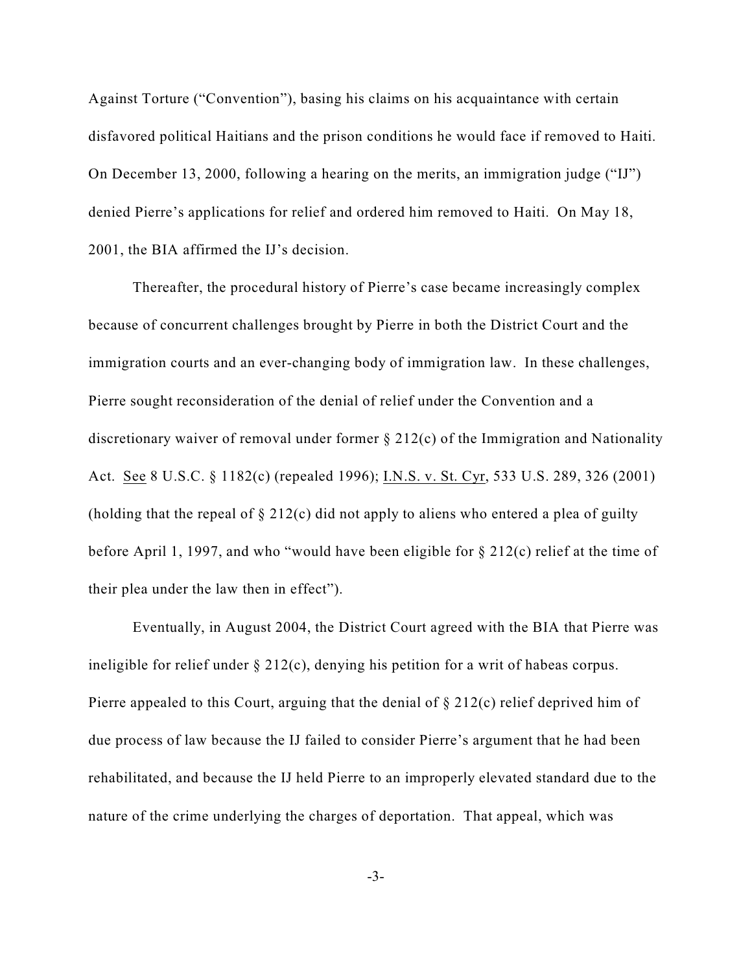Against Torture ("Convention"), basing his claims on his acquaintance with certain disfavored political Haitians and the prison conditions he would face if removed to Haiti. On December 13, 2000, following a hearing on the merits, an immigration judge ("IJ") denied Pierre's applications for relief and ordered him removed to Haiti. On May 18, 2001, the BIA affirmed the IJ's decision.

Thereafter, the procedural history of Pierre's case became increasingly complex because of concurrent challenges brought by Pierre in both the District Court and the immigration courts and an ever-changing body of immigration law. In these challenges, Pierre sought reconsideration of the denial of relief under the Convention and a discretionary waiver of removal under former § 212(c) of the Immigration and Nationality Act. See 8 U.S.C. § 1182(c) (repealed 1996); I.N.S. v. St. Cyr, 533 U.S. 289, 326 (2001) (holding that the repeal of  $\S 212(c)$  did not apply to aliens who entered a plea of guilty before April 1, 1997, and who "would have been eligible for § 212(c) relief at the time of their plea under the law then in effect").

Eventually, in August 2004, the District Court agreed with the BIA that Pierre was ineligible for relief under § 212(c), denying his petition for a writ of habeas corpus. Pierre appealed to this Court, arguing that the denial of § 212(c) relief deprived him of due process of law because the IJ failed to consider Pierre's argument that he had been rehabilitated, and because the IJ held Pierre to an improperly elevated standard due to the nature of the crime underlying the charges of deportation. That appeal, which was

-3-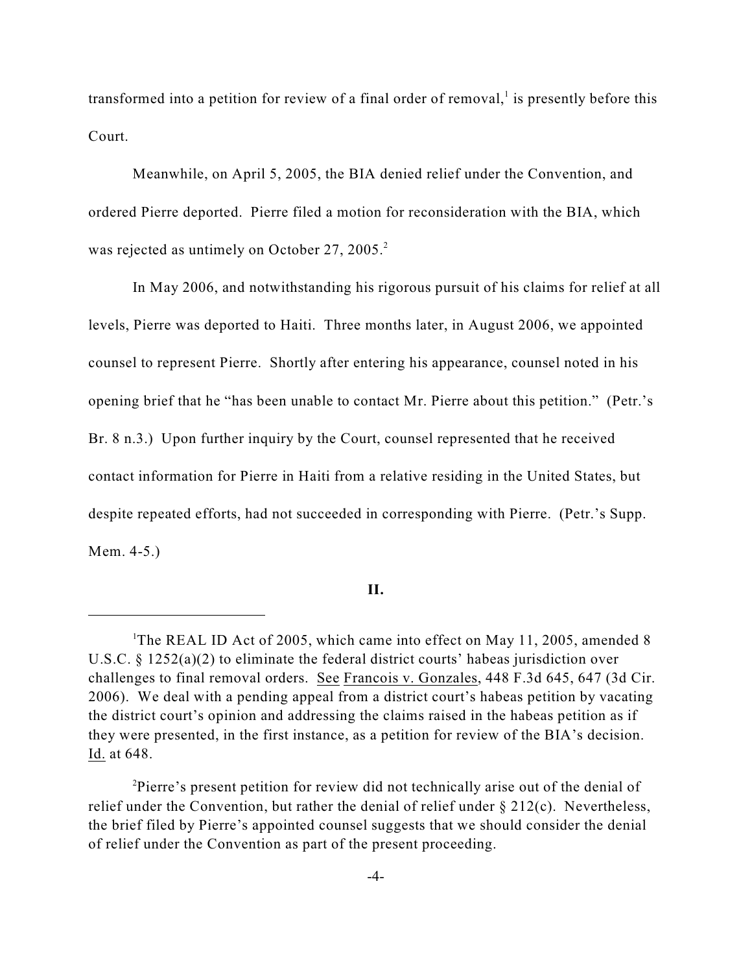transformed into a petition for review of a final order of removal, $\frac{1}{1}$  is presently before this Court.

Meanwhile, on April 5, 2005, the BIA denied relief under the Convention, and ordered Pierre deported. Pierre filed a motion for reconsideration with the BIA, which was rejected as untimely on October 27, 2005.<sup>2</sup>

In May 2006, and notwithstanding his rigorous pursuit of his claims for relief at all levels, Pierre was deported to Haiti. Three months later, in August 2006, we appointed counsel to represent Pierre. Shortly after entering his appearance, counsel noted in his opening brief that he "has been unable to contact Mr. Pierre about this petition." (Petr.'s Br. 8 n.3.) Upon further inquiry by the Court, counsel represented that he received contact information for Pierre in Haiti from a relative residing in the United States, but despite repeated efforts, had not succeeded in corresponding with Pierre. (Petr.'s Supp. Mem. 4-5.)

**II.**

<sup>&</sup>lt;sup>1</sup>The REAL ID Act of 2005, which came into effect on May 11, 2005, amended 8 U.S.C.  $\S 1252(a)(2)$  to eliminate the federal district courts' habeas jurisdiction over challenges to final removal orders. See Francois v. Gonzales, 448 F.3d 645, 647 (3d Cir. 2006). We deal with a pending appeal from a district court's habeas petition by vacating the district court's opinion and addressing the claims raised in the habeas petition as if they were presented, in the first instance, as a petition for review of the BIA's decision. Id. at 648.

<sup>&</sup>lt;sup>2</sup>Pierre's present petition for review did not technically arise out of the denial of relief under the Convention, but rather the denial of relief under § 212(c). Nevertheless, the brief filed by Pierre's appointed counsel suggests that we should consider the denial of relief under the Convention as part of the present proceeding.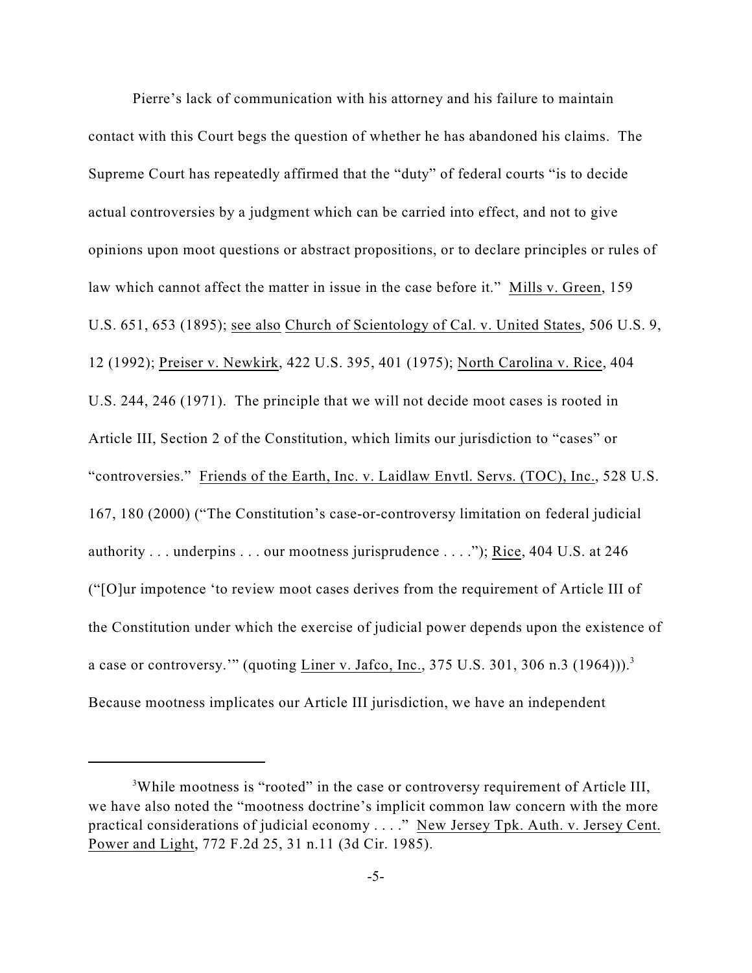Pierre's lack of communication with his attorney and his failure to maintain contact with this Court begs the question of whether he has abandoned his claims. The Supreme Court has repeatedly affirmed that the "duty" of federal courts "is to decide actual controversies by a judgment which can be carried into effect, and not to give opinions upon moot questions or abstract propositions, or to declare principles or rules of law which cannot affect the matter in issue in the case before it." Mills v. Green, 159 U.S. 651, 653 (1895); see also Church of Scientology of Cal. v. United States, 506 U.S. 9, 12 (1992); Preiser v. Newkirk, 422 U.S. 395, 401 (1975); North Carolina v. Rice, 404 U.S. 244, 246 (1971). The principle that we will not decide moot cases is rooted in Article III, Section 2 of the Constitution, which limits our jurisdiction to "cases" or "controversies." Friends of the Earth, Inc. v. Laidlaw Envtl. Servs. (TOC), Inc., 528 U.S. 167, 180 (2000) ("The Constitution's case-or-controversy limitation on federal judicial authority . . . underpins . . . our mootness jurisprudence . . . ."); Rice, 404 U.S. at 246 ("[O]ur impotence 'to review moot cases derives from the requirement of Article III of the Constitution under which the exercise of judicial power depends upon the existence of a case or controversy."" (quoting  $\frac{\text{Liner v. Jafco, Inc.}}{\text{ln} \text{c}}$ , 375 U.S. 301, 306 n.3 (1964))).<sup>3</sup> Because mootness implicates our Article III jurisdiction, we have an independent

<sup>&</sup>lt;sup>3</sup>While mootness is "rooted" in the case or controversy requirement of Article III, we have also noted the "mootness doctrine's implicit common law concern with the more practical considerations of judicial economy . . . ." New Jersey Tpk. Auth. v. Jersey Cent. Power and Light, 772 F.2d 25, 31 n.11 (3d Cir. 1985).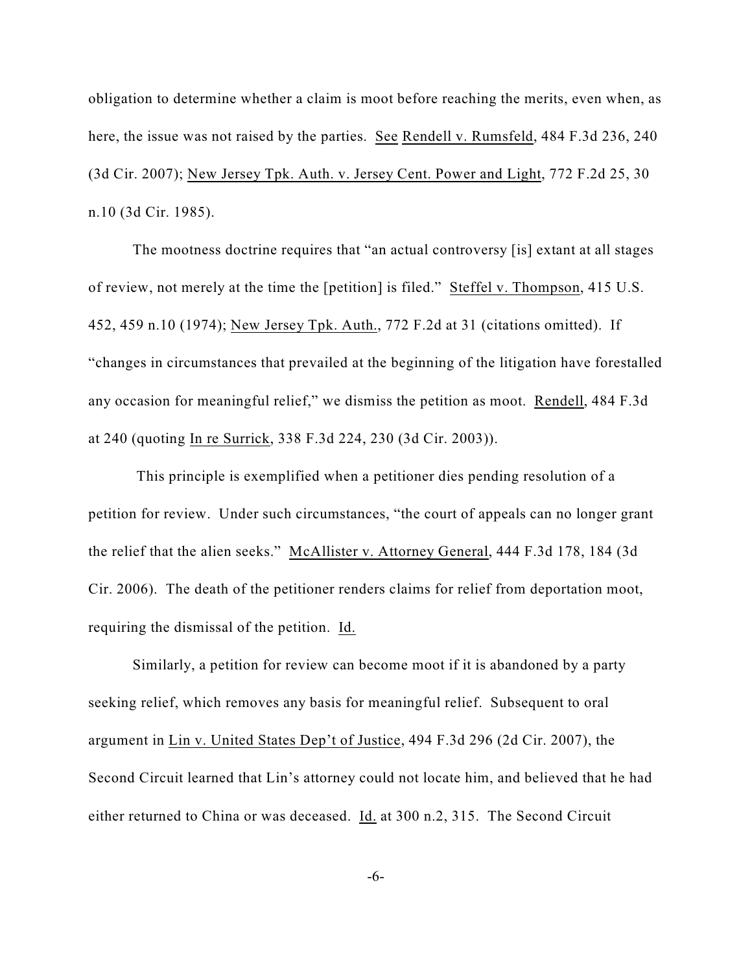obligation to determine whether a claim is moot before reaching the merits, even when, as here, the issue was not raised by the parties. See Rendell v. Rumsfeld, 484 F.3d 236, 240 (3d Cir. 2007); New Jersey Tpk. Auth. v. Jersey Cent. Power and Light, 772 F.2d 25, 30 n.10 (3d Cir. 1985).

The mootness doctrine requires that "an actual controversy [is] extant at all stages of review, not merely at the time the [petition] is filed." Steffel v. Thompson, 415 U.S. 452, 459 n.10 (1974); New Jersey Tpk. Auth., 772 F.2d at 31 (citations omitted). If "changes in circumstances that prevailed at the beginning of the litigation have forestalled any occasion for meaningful relief," we dismiss the petition as moot. Rendell, 484 F.3d at 240 (quoting In re Surrick, 338 F.3d 224, 230 (3d Cir. 2003)).

 This principle is exemplified when a petitioner dies pending resolution of a petition for review. Under such circumstances, "the court of appeals can no longer grant the relief that the alien seeks." McAllister v. Attorney General, 444 F.3d 178, 184 (3d Cir. 2006). The death of the petitioner renders claims for relief from deportation moot, requiring the dismissal of the petition. Id.

Similarly, a petition for review can become moot if it is abandoned by a party seeking relief, which removes any basis for meaningful relief. Subsequent to oral argument in Lin v. United States Dep't of Justice, 494 F.3d 296 (2d Cir. 2007), the Second Circuit learned that Lin's attorney could not locate him, and believed that he had either returned to China or was deceased. Id. at 300 n.2, 315. The Second Circuit

-6-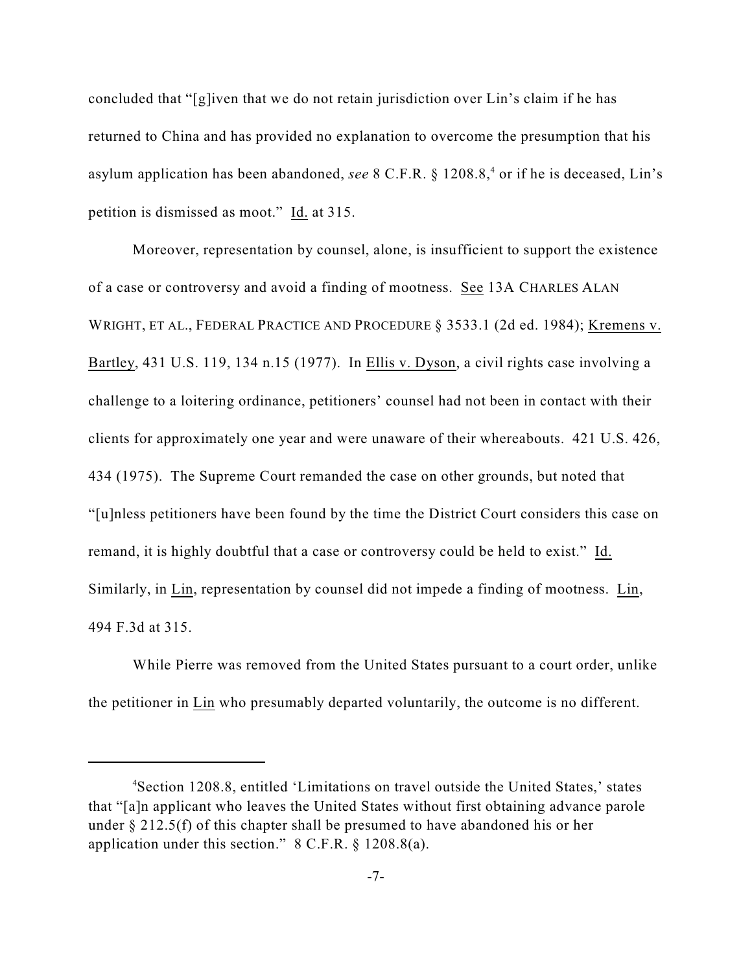concluded that "[g]iven that we do not retain jurisdiction over Lin's claim if he has returned to China and has provided no explanation to overcome the presumption that his asylum application has been abandoned, *see* 8 C.F.R. § 1208.8,<sup>4</sup> or if he is deceased, Lin's petition is dismissed as moot." Id. at 315.

Moreover, representation by counsel, alone, is insufficient to support the existence of a case or controversy and avoid a finding of mootness. See 13A CHARLES ALAN WRIGHT, ET AL., FEDERAL PRACTICE AND PROCEDURE § 3533.1 (2d ed. 1984); Kremens v. Bartley, 431 U.S. 119, 134 n.15 (1977). In Ellis v. Dyson, a civil rights case involving a challenge to a loitering ordinance, petitioners' counsel had not been in contact with their clients for approximately one year and were unaware of their whereabouts. 421 U.S. 426, 434 (1975). The Supreme Court remanded the case on other grounds, but noted that "[u]nless petitioners have been found by the time the District Court considers this case on remand, it is highly doubtful that a case or controversy could be held to exist." Id. Similarly, in Lin, representation by counsel did not impede a finding of mootness. Lin, 494 F.3d at 315.

While Pierre was removed from the United States pursuant to a court order, unlike the petitioner in Lin who presumably departed voluntarily, the outcome is no different.

<sup>&</sup>lt;sup>4</sup>Section 1208.8, entitled 'Limitations on travel outside the United States,' states that "[a]n applicant who leaves the United States without first obtaining advance parole under § 212.5(f) of this chapter shall be presumed to have abandoned his or her application under this section." 8 C.F.R. § 1208.8(a).